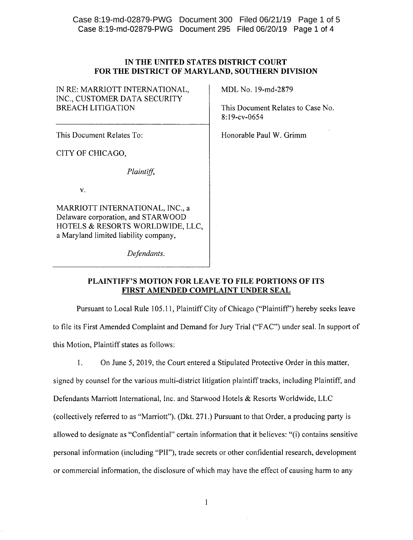Case 8:19-md~02879-PWG Document 295 Filed 06/20/19 Page 1 of 4 Case 8:19-md-02879-PWG Document 300 Filed 06/21/19 Page 1 of 5

| IN THE UNITED STATES DISTRICT COURT             |
|-------------------------------------------------|
| FOR THE DISTRICT OF MARYLAND, SOUTHERN DIVISION |

| IN RE: MARRIOTT INTERNATIONAL,<br>INC., CUSTOMER DATA SECURITY<br>BREACH LITIGATION                                                                | MDL No. 19-md-2879<br>This Document Relates to Case No.<br>8:19-cv-0654 |
|----------------------------------------------------------------------------------------------------------------------------------------------------|-------------------------------------------------------------------------|
| This Document Relates To:                                                                                                                          | Honorable Paul W. Grimm                                                 |
| CITY OF CHICAGO,                                                                                                                                   |                                                                         |
| Plaintiff,                                                                                                                                         |                                                                         |
| V.                                                                                                                                                 |                                                                         |
| MARRIOTT INTERNATIONAL, INC., a<br>Delaware corporation, and STARWOOD<br>HOTELS & RESORTS WORLDWIDE, LLC,<br>a Maryland limited liability company, |                                                                         |
| Defendants.                                                                                                                                        |                                                                         |

PLAINTIFF'S MOTION FOR LEAVE TO FILE PORTIONS OF ITS FIRST AMENDED COMPLAINT UNDER SEAL

Pursuant to Local Rule 105.11, Plaintiff City of Chicago ("Plaintiff') hereby seeks leave to file its First Amended Complaint and Demand for Jury Trial ("FAC") under seal. In support of this Motion, Plaintiff states as follows:

1. On June 5, 2019, the Court entered a Stipulated Protective Order in this matter,

signed by counsel for the various multi-district litigation plaintiff tracks, including Plaintiff, and Defendants Marriott International, Inc. and Starwood Hotels & Resorts Worldwide, LLC (collectively referred to as "Marriott"). (Dkt. 271.) Pursuant to that Order, a producing party is allowed to designate as "Confidential" certain information that it believes: "(i) contains sensitive personal information (including "PII"), trade secrets or other confidential research, development or commercial information, the disclosure of which may have the effect of causing harm to any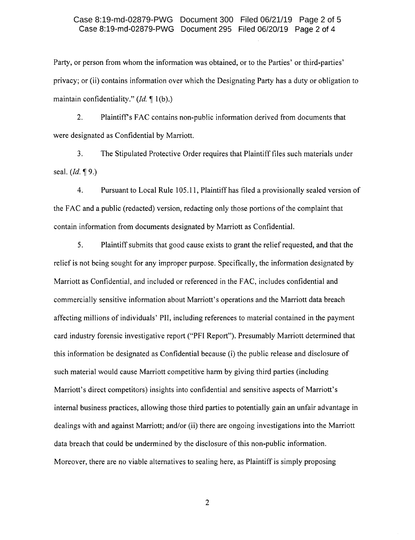## Case 8:19-md-02879-PWG Document 295 Filed 06/20/19 Page 2 of 4 Case 8:19-md-02879-PWG Document 300 Filed 06/21/19 Page 2 of 5

Party, or person from whom the information was obtained, or to the Parties' or third-parties' privacy; or (ii) contains information over which the Designating Party has a duty or obligation to maintain confidentiality." *(Id.* 1(b).)

2. Plaintiff s FAC contains non-public information derived from documents that were designated as Confidential by Marriott.

3. The Stipulated Protective Order requires that Plaintiff files such materials under seal. *(Id.* 19.)

4. Pursuant to Local Rule 105.11, Plaintiff has filed a provisionally sealed version of the FAC and a public (redacted) version, redacting only those portions of the complaint that contain information from documents designated by Marriott as Confidential.

5. Plaintiff submits that good cause exists to grant the relief requested, and that the relief is not being sought for any improper purpose. Specifically, the information designated by Marriott as Confidential, and included or referenced in the FAC, includes confidential and commercially sensitive information about Marriott's operations and the Marriott data breach affecting millions of individuals' PIl, including references to material contained in the payment card industry forensic investigative report ("PFI Report"). Presumably Marriott determined that this information be designated as Confidential because (i) the public release and disclosure of such material would cause Marriott competitive harm by giving third parties (including Marriott's direct competitors) insights into confidential and sensitive aspects of Marriott's internal business practices, allowing those third parties to potentially gain an unfair advantage in dealings with and against Marriott; and/or (ii) there are ongoing investigations into the Marriott data breach that could be undermined by the disclosure of this non-public information. Moreover, there are no viable alternatives to sealing here, as Plaintiff is simply proposing

2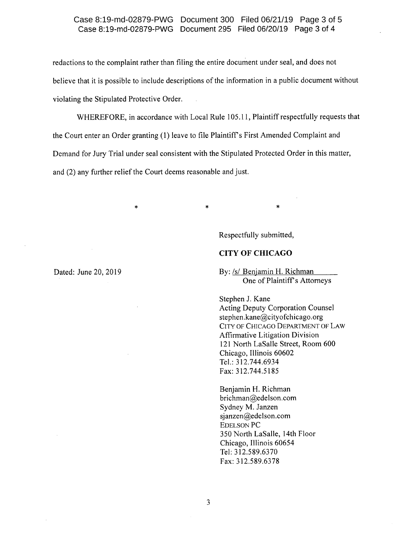#### Case 8:19-md-02879-PWG Document 295 Filed 06/20/19 Page 3 of 4 Case 8:19-md-02879-PWG Document 300 Filed 06/21/19 Page 3 of 5

redactions to the complaint rather than filing the entire document under seal, and does not believe that it is possible to include descriptions of the information in a public document without violating the Stipulated Protective Order.

WHEREFORE, in accordance with Local Rule 105.11, Plaintiff respectfully requests that the Court enter an Order granting (1) leave to file Plaintiffs First Amended Complaint and Demand for Jury Trial under seal consistent with the Stipulated Protected Order in this matter, and (2) any further relief the Court deems reasonable and just.

 $\tilde{\mathcal{R}}$  the contract of  $\tilde{\mathcal{R}}$ 

Respectfully submitted,

## **CITY OF CHICAGO**

By: /s/ Benjamin H. Richman One of Plaintiff's Attorneys

\*

Stephen 1. Kane Acting Deputy Corporation Counsel [stephen.kane@cityofchicago.org](mailto:stephen.kane@cityofchicago.org) CITY OF CHICAGO DEPARTMENT OF LAW Affirmative Litigation Division 121 North LaSalle Street, Room 600 Chicago, Illinois 60602 Tel.: 312.744.6934 Fax: 312.744.5185

Benjamin H. Richman [brichman@edelson.com](mailto:brichman@edelson.com) Sydney M. Janzen [sjanzen@edelson.com](mailto:sjanzen@edelson.com) EDELSON PC 350 North LaSalle, 14th Floor Chicago, Illinois 60654 Tel: 312.589.6370 Fax: 312.589.6378

Dated: June 20, 2019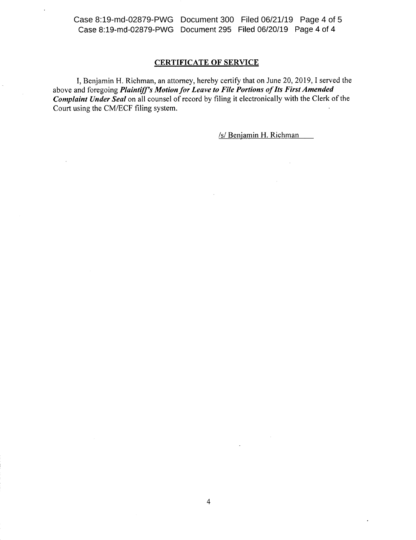Case 8:19-md-02879-PWG Document 295 Filed 06/20/19 Page 4 of 4 Case 8:19-md-02879-PWG Document 300 Filed 06/21/19 Page 4 of 5

## CERTIFICATE OF SERVICE

I, Benjamin H. Richman, an attorney, hereby certify that on June 20, 2019, I served the above and foregoing *Plaintiff's Motion for Leave to File Portions of Its First Amended Complaint Under Seal* on all counsel of record by filing it electronically with the Clerk of the Court using the CM/ECF filing system.

*lsi* Benjamin H. Richman